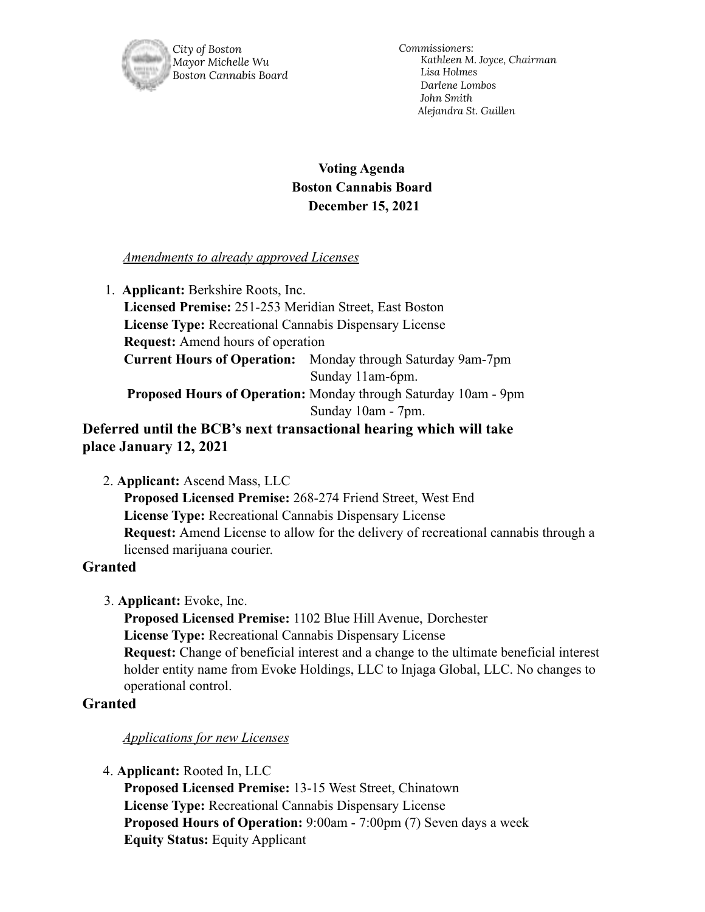

*City of Boston Mayor Michelle Wu Boston Cannabis Board* *Commissioners: Kathleen M. Joyce, Chairman Lisa Holmes Darlene Lombos John Smith Alejandra St. Guillen*

# **Voting Agenda Boston Cannabis Board December 15, 2021**

### *Amendments to already approved Licenses*

1. **Applicant:** Berkshire Roots, Inc. **Licensed Premise:** 251-253 Meridian Street, East Boston **License Type:** Recreational Cannabis Dispensary License **Request:** Amend hours of operation **Current Hours of Operation:** Monday through Saturday 9am-7pm Sunday 11am-6pm. **Proposed Hours of Operation:** Monday through Saturday 10am - 9pm Sunday 10am - 7pm.

**Deferred until the BCB's next transactional hearing which will take place January 12, 2021**

2. **Applicant:** Ascend Mass, LLC

**Proposed Licensed Premise:** 268-274 Friend Street, West End **License Type:** Recreational Cannabis Dispensary License **Request:** Amend License to allow for the delivery of recreational cannabis through a licensed marijuana courier.

# **Granted**

3. **Applicant:** Evoke, Inc.

**Proposed Licensed Premise:** 1102 Blue Hill Avenue, Dorchester **License Type:** Recreational Cannabis Dispensary License **Request:** Change of beneficial interest and a change to the ultimate beneficial interest holder entity name from Evoke Holdings, LLC to Injaga Global, LLC. No changes to operational control.

# **Granted**

### *Applications for new Licenses*

4. **Applicant:** Rooted In, LLC

**Proposed Licensed Premise:** 13-15 West Street, Chinatown **License Type:** Recreational Cannabis Dispensary License **Proposed Hours of Operation:** 9:00am - 7:00pm (7) Seven days a week **Equity Status:** Equity Applicant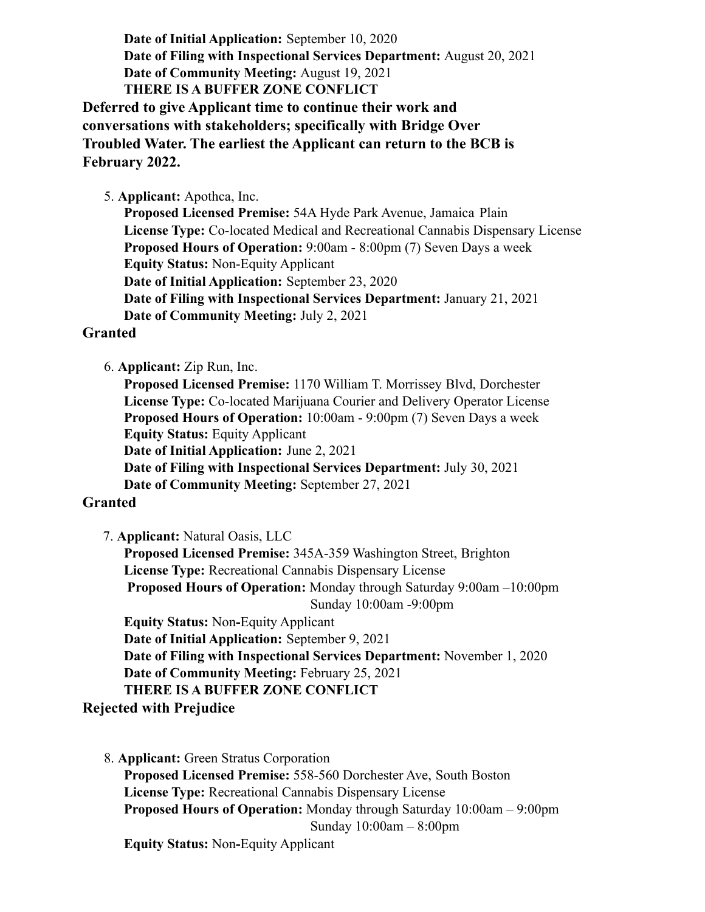**Date of Initial Application:** September 10, 2020 **Date of Filing with Inspectional Services Department:** August 20, 2021 **Date of Community Meeting:** August 19, 2021 **THERE IS A BUFFER ZONE CONFLICT**

**Deferred to give Applicant time to continue their work and conversations with stakeholders; specifically with Bridge Over Troubled Water. The earliest the Applicant can return to the BCB is February 2022.**

5. **Applicant:** Apothca, Inc.

**Proposed Licensed Premise:** 54A Hyde Park Avenue, Jamaica Plain **License Type:** Co-located Medical and Recreational Cannabis Dispensary License **Proposed Hours of Operation:** 9:00am - 8:00pm (7) Seven Days a week **Equity Status:** Non-Equity Applicant **Date of Initial Application:** September 23, 2020 **Date of Filing with Inspectional Services Department:** January 21, 2021 **Date of Community Meeting:** July 2, 2021

#### **Granted**

6. **Applicant:** Zip Run, Inc.

**Proposed Licensed Premise:** 1170 William T. Morrissey Blvd, Dorchester **License Type:** Co-located Marijuana Courier and Delivery Operator License **Proposed Hours of Operation:** 10:00am - 9:00pm (7) Seven Days a week **Equity Status:** Equity Applicant **Date of Initial Application:** June 2, 2021 **Date of Filing with Inspectional Services Department:** July 30, 2021

**Date of Community Meeting:** September 27, 2021

### **Granted**

7. **Applicant:** Natural Oasis, LLC

**Proposed Licensed Premise:** 345A-359 Washington Street, Brighton **License Type:** Recreational Cannabis Dispensary License **Proposed Hours of Operation:** Monday through Saturday 9:00am –10:00pm Sunday 10:00am -9:00pm

**Equity Status:** Non**-**Equity Applicant

**Date of Initial Application:** September 9, 2021 **Date of Filing with Inspectional Services Department:** November 1, 2020 **Date of Community Meeting:** February 25, 2021 **THERE IS A BUFFER ZONE CONFLICT**

**Rejected with Prejudice**

8. **Applicant:** Green Stratus Corporation **Proposed Licensed Premise:** 558-560 Dorchester Ave, South Boston **License Type:** Recreational Cannabis Dispensary License **Proposed Hours of Operation:** Monday through Saturday 10:00am – 9:00pm Sunday 10:00am – 8:00pm

**Equity Status:** Non**-**Equity Applicant